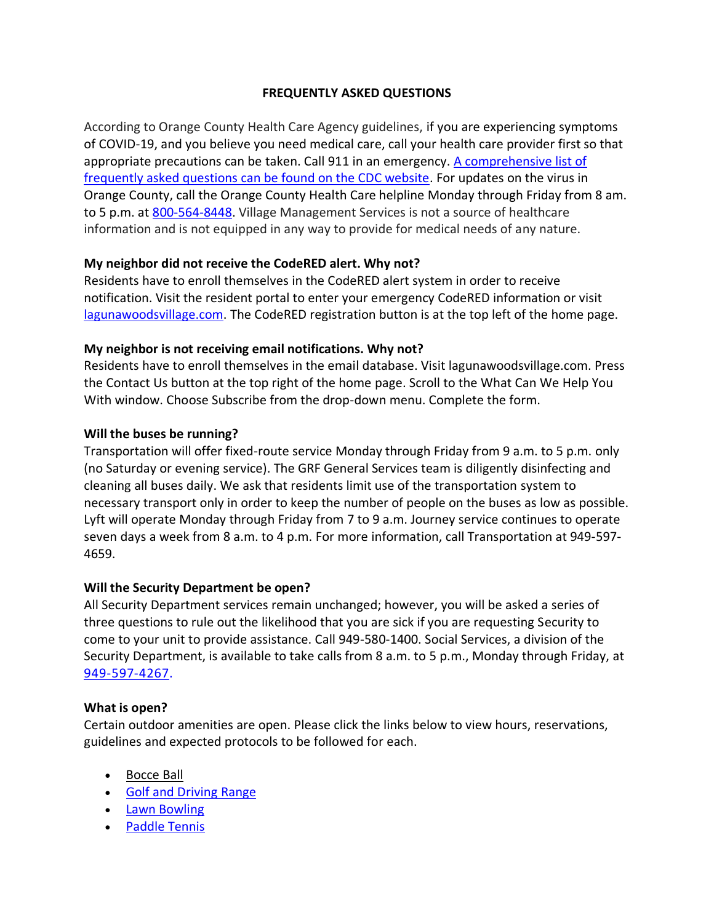# **FREQUENTLY ASKED QUESTIONS**

According to Orange County Health Care Agency guidelines, if you are experiencing symptoms of COVID-19, and you believe you need medical care, call your health care provider first so that appropriate precautions can be taken. Call 911 in an emergency. A comprehensive list of [frequently asked questions can be found on the CDC website.](https://www.cdc.gov/coronavirus/2019-nCoV/index.html) For updates on the virus in Orange County, call the Orange County Health Care helpline Monday through Friday from 8 am. to 5 p.m. at [800-564-8448.](tel:800-564-8448) Village Management Services is not a source of healthcare information and is not equipped in any way to provide for medical needs of any nature.

## **My neighbor did not receive the CodeRED alert. Why not?**

Residents have to enroll themselves in the CodeRED alert system in order to receive notification. Visit the resident portal to enter your emergency CodeRED information or visit [lagunawoodsvillage.com.](http://lagunawoodsvillage.com/) The CodeRED registration button is at the top left of the home page.

## **My neighbor is not receiving email notifications. Why not?**

Residents have to enroll themselves in the email database. Visit lagunawoodsvillage.com. Press the Contact Us button at the top right of the home page. Scroll to the What Can We Help You With window. Choose Subscribe from the drop-down menu. Complete the form.

## **Will the buses be running?**

Transportation will offer fixed-route service Monday through Friday from 9 a.m. to 5 p.m. only (no Saturday or evening service). The GRF General Services team is diligently disinfecting and cleaning all buses daily. We ask that residents limit use of the transportation system to necessary transport only in order to keep the number of people on the buses as low as possible. Lyft will operate Monday through Friday from 7 to 9 a.m. Journey service continues to operate seven days a week from 8 a.m. to 4 p.m. For more information, call Transportation at 949-597- 4659.

#### **Will the Security Department be open?**

All Security Department services remain unchanged; however, you will be asked a series of three questions to rule out the likelihood that you are sick if you are requesting Security to come to your unit to provide assistance. Call 949-580-1400. Social Services, a division of the Security Department, is available to take calls from 8 a.m. to 5 p.m., Monday through Friday, at [949-597-4267.](tel:949-597-4267)

#### **What is open?**

Certain outdoor amenities are open. Please click the links below to view hours, reservations, guidelines and expected protocols to be followed for each.

- [Bocce Ball](https://www.lagunawoodsvillage.com/documents/view/Bocce%20Ball%20Reopening%20Procedure%2009302929_FINAL.pdf?v=1601501036)
- [Golf and Driving Range](https://lagunawoodsvillage.com/documents/view/Golf%20Reopening%20Procedure_For%20ResidentsWeb.pdf?v=1588203875)
- [Lawn Bowling](https://lagunawoodsvillage.com/documents/view/4469/Lawn%20Bowling%20Reopening%20Procedure_For%20ResidentsWeb.pdf?v=1591390371)
- [Paddle Tennis](https://lagunawoodsvillage.com/documents/view/4453/Paddle%20Tennis%20Facility%20Reopening%20Procedure_For%20ResidentsWeb.pdf?v=1590167845)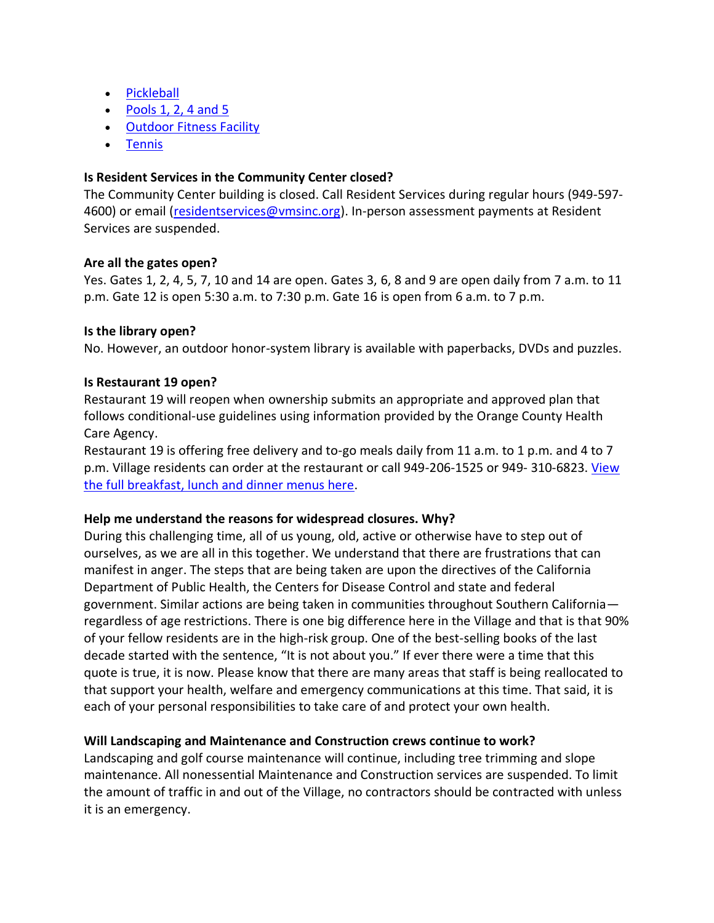- [Pickleball](https://lagunawoodsvillage.com/documents/view/4452/Pickleball%20Facility%20Reopening%20Procedure_For%20ResidentsWeb.pdf?v=1590167770)
- Pools  $1, 2, 4$  and  $5$
- [Outdoor Fitness Facility](https://www.lagunawoodsvillage.com/documents/view/Conditional%20Opening%20CH1%20Outdoor%20Fitness%20Facility%2010142020.pdf?v=1602707685)
- [Tennis](https://lagunawoodsvillage.com/documents/view/Tennis%20Center%20Reopening%20Procedure_For%20ResidentsWeb.pdf?v=1588871385)

## **Is Resident Services in the Community Center closed?**

The Community Center building is closed. Call Resident Services during regular hours (949-597- 4600) or email [\(residentservices@vmsinc.org\)](mailto:residentservices@vmsinc.org). In-person assessment payments at Resident Services are suspended.

#### **Are all the gates open?**

Yes. Gates 1, 2, 4, 5, 7, 10 and 14 are open. Gates 3, 6, 8 and 9 are open daily from 7 a.m. to 11 p.m. Gate 12 is open 5:30 a.m. to 7:30 p.m. Gate 16 is open from 6 a.m. to 7 p.m.

#### **Is the library open?**

No. However, an outdoor honor-system library is available with paperbacks, DVDs and puzzles.

## **Is Restaurant 19 open?**

Restaurant 19 will reopen when ownership submits an appropriate and approved plan that follows conditional-use guidelines using information provided by the Orange County Health Care Agency.

Restaurant 19 is offering free delivery and to-go meals daily from 11 a.m. to 1 p.m. and 4 to 7 p.m. Village residents can order at the restaurant or call 949-206-1525 or 949- 310-6823. [View](https://lagunawoodsvillage.com/documents/view/4799/Restaurant%2019%20Menu%20September%202020.pdf?v=1599865591)  [the full breakfast, lunch and dinner menus here.](https://lagunawoodsvillage.com/documents/view/4799/Restaurant%2019%20Menu%20September%202020.pdf?v=1599865591)

#### **Help me understand the reasons for widespread closures. Why?**

During this challenging time, all of us young, old, active or otherwise have to step out of ourselves, as we are all in this together. We understand that there are frustrations that can manifest in anger. The steps that are being taken are upon the directives of the California Department of Public Health, the Centers for Disease Control and state and federal government. Similar actions are being taken in communities throughout Southern California regardless of age restrictions. There is one big difference here in the Village and that is that 90% of your fellow residents are in the high-risk group. One of the best-selling books of the last decade started with the sentence, "It is not about you." If ever there were a time that this quote is true, it is now. Please know that there are many areas that staff is being reallocated to that support your health, welfare and emergency communications at this time. That said, it is each of your personal responsibilities to take care of and protect your own health.

# **Will Landscaping and Maintenance and Construction crews continue to work?**

Landscaping and golf course maintenance will continue, including tree trimming and slope maintenance. All nonessential Maintenance and Construction services are suspended. To limit the amount of traffic in and out of the Village, no contractors should be contracted with unless it is an emergency.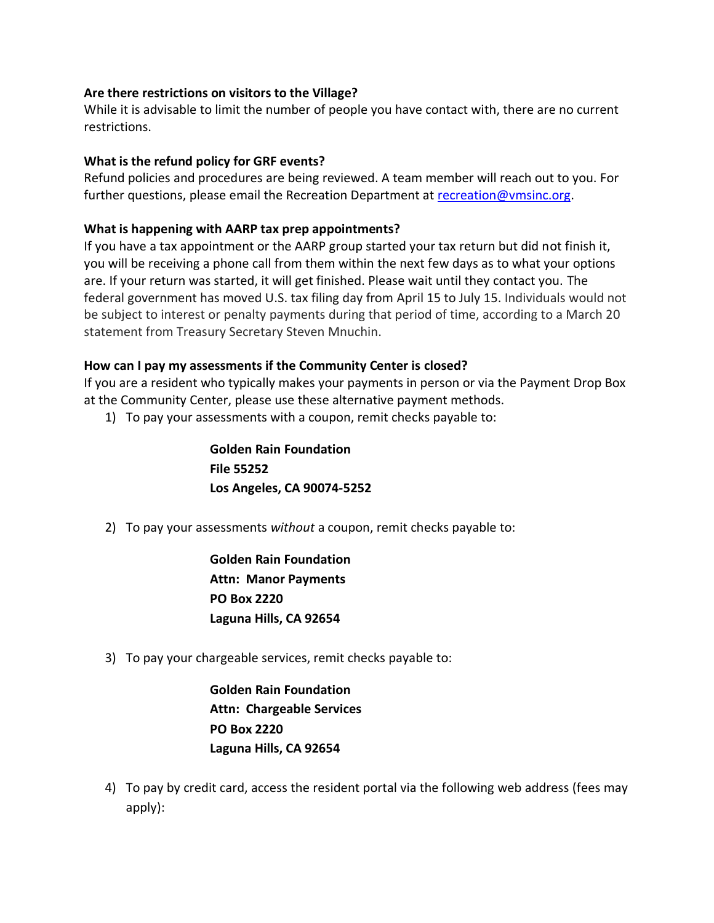#### **Are there restrictions on visitors to the Village?**

While it is advisable to limit the number of people you have contact with, there are no current restrictions.

## **What is the refund policy for GRF events?**

Refund policies and procedures are being reviewed. A team member will reach out to you. For further questions, please email the Recreation Department at [recreation@vmsinc.org.](mailto:recreation@vmsinc.org)

## **What is happening with AARP tax prep appointments?**

If you have a tax appointment or the AARP group started your tax return but did not finish it, you will be receiving a phone call from them within the next few days as to what your options are. If your return was started, it will get finished. Please wait until they contact you. The federal government has moved U.S. tax filing day from April 15 to July 15. Individuals would not be subject to interest or penalty payments during that period of time, according to a March 20 statement from Treasury Secretary Steven Mnuchin.

## **How can I pay my assessments if the Community Center is closed?**

If you are a resident who typically makes your payments in person or via the Payment Drop Box at the Community Center, please use these alternative payment methods.

1) To pay your assessments with a coupon, remit checks payable to:

**Golden Rain Foundation File 55252 Los Angeles, CA 90074-5252**

2) To pay your assessments *without* a coupon, remit checks payable to:

**Golden Rain Foundation Attn: Manor Payments PO Box 2220 Laguna Hills, CA 92654**

3) To pay your chargeable services, remit checks payable to:

**Golden Rain Foundation Attn: Chargeable Services PO Box 2220 Laguna Hills, CA 92654**

4) To pay by credit card, access the resident portal via the following web address (fees may apply):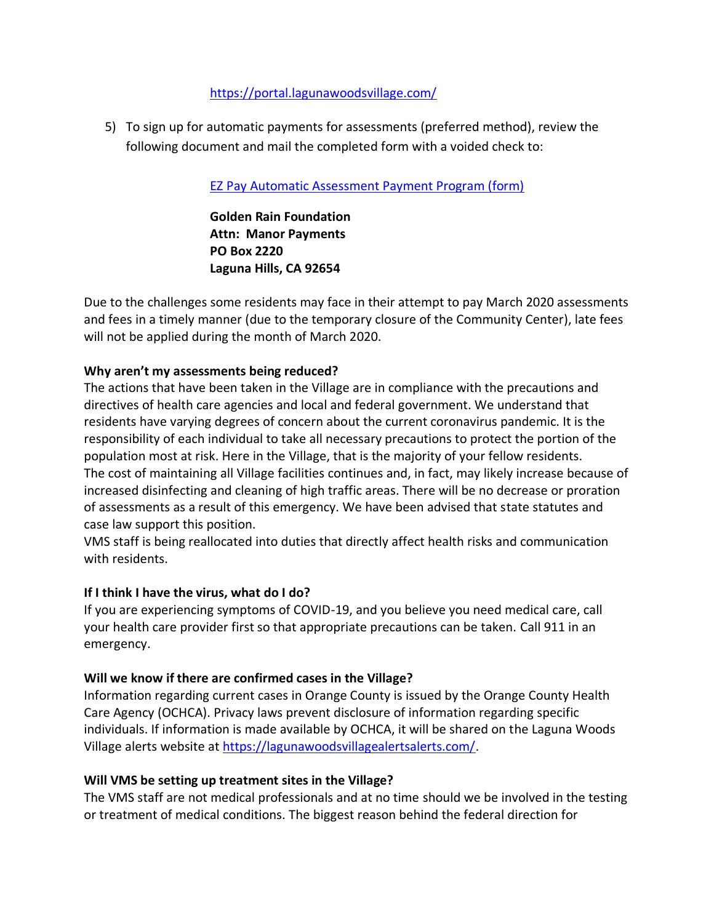## <https://portal.lagunawoodsvillage.com/>

5) To sign up for automatic payments for assessments (preferred method), review the following document and mail the completed form with a voided check to:

[EZ Pay Automatic Assessment Payment Program \(form\)](https://lagunawoodsvillage.com/documents/view/1404/EZPay%20Automatic%20Payment%20Program_REV%2003-23-2020.pdf)

**Golden Rain Foundation Attn: Manor Payments PO Box 2220 Laguna Hills, CA 92654**

Due to the challenges some residents may face in their attempt to pay March 2020 assessments and fees in a timely manner (due to the temporary closure of the Community Center), late fees will not be applied during the month of March 2020.

## **Why aren't my assessments being reduced?**

The actions that have been taken in the Village are in compliance with the precautions and directives of health care agencies and local and federal government. We understand that residents have varying degrees of concern about the current coronavirus pandemic. It is the responsibility of each individual to take all necessary precautions to protect the portion of the population most at risk. Here in the Village, that is the majority of your fellow residents. The cost of maintaining all Village facilities continues and, in fact, may likely increase because of increased disinfecting and cleaning of high traffic areas. There will be no decrease or proration of assessments as a result of this emergency. We have been advised that state statutes and case law support this position.

VMS staff is being reallocated into duties that directly affect health risks and communication with residents.

#### **If I think I have the virus, what do I do?**

If you are experiencing symptoms of COVID-19, and you believe you need medical care, call your health care provider first so that appropriate precautions can be taken. Call 911 in an emergency.

#### **Will we know if there are confirmed cases in the Village?**

Information regarding current cases in Orange County is issued by the Orange County Health Care Agency (OCHCA). Privacy laws prevent disclosure of information regarding specific individuals. If information is made available by OCHCA, it will be shared on the Laguna Woods Village alerts website a[t https://lagunawoodsvillagealertsalerts.com/.](https://lagunawoodsvillagealerts.com/)

#### **Will VMS be setting up treatment sites in the Village?**

The VMS staff are not medical professionals and at no time should we be involved in the testing or treatment of medical conditions. The biggest reason behind the federal direction for